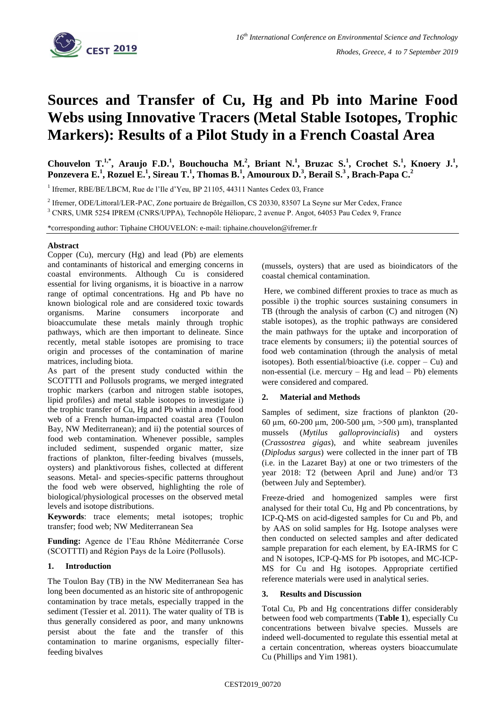

# **Sources and Transfer of Cu, Hg and Pb into Marine Food Webs using Innovative Tracers (Metal Stable Isotopes, Trophic Markers): Results of a Pilot Study in a French Coastal Area**

Chouvelon T.<sup>1,\*</sup>, Araujo F.D.<sup>1</sup>, Bouchoucha M.<sup>2</sup>, Briant N.<sup>1</sup>, Bruzac S.<sup>1</sup>, Crochet S.<sup>1</sup>, Knoery J.<sup>1</sup>, **Ponzevera E.<sup>1</sup> , Rozuel E.<sup>1</sup> , Sireau T.<sup>1</sup> , Thomas B.<sup>1</sup> , Amouroux D.<sup>3</sup> , Berail S.<sup>3</sup> , Brach-Papa C.<sup>2</sup>**

<sup>1</sup> Ifremer, RBE/BE/LBCM, Rue de l'Ile d'Yeu, BP 21105, 44311 Nantes Cedex 03, France

<sup>2</sup> Ifremer, ODE/Littoral/LER-PAC, Zone portuaire de Brégaillon, CS 20330, 83507 La Seyne sur Mer Cedex, France

<sup>3</sup> CNRS, UMR 5254 IPREM (CNRS/UPPA), Technopôle Hélioparc, 2 avenue P. Angot, 64053 Pau Cedex 9, France

\*corresponding author: Tiphaine CHOUVELON: e-mail: tiphaine.chouvelon@ifremer.fr

#### **Abstract**

Copper (Cu), mercury (Hg) and lead (Pb) are elements and contaminants of historical and emerging concerns in coastal environments. Although Cu is considered essential for living organisms, it is bioactive in a narrow range of optimal concentrations. Hg and Pb have no known biological role and are considered toxic towards organisms. Marine consumers incorporate and bioaccumulate these metals mainly through trophic pathways, which are then important to delineate. Since recently, metal stable isotopes are promising to trace origin and processes of the contamination of marine matrices, including biota.

As part of the present study conducted within the SCOTTTI and Pollusols programs, we merged integrated trophic markers (carbon and nitrogen stable isotopes, lipid profiles) and metal stable isotopes to investigate i) the trophic transfer of Cu, Hg and Pb within a model food web of a French human-impacted coastal area (Toulon Bay, NW Mediterranean); and ii) the potential sources of food web contamination. Whenever possible, samples included sediment, suspended organic matter, size fractions of plankton, filter-feeding bivalves (mussels, oysters) and planktivorous fishes, collected at different seasons. Metal- and species-specific patterns throughout the food web were observed, highlighting the role of biological/physiological processes on the observed metal levels and isotope distributions.

**Keywords**: trace elements; metal isotopes; trophic transfer; food web; NW Mediterranean Sea

Funding: Agence de l'Eau Rhône Méditerranée Corse (SCOTTTI) and Région Pays de la Loire (Pollusols).

## **1. Introduction**

The Toulon Bay (TB) in the NW Mediterranean Sea has long been documented as an historic site of anthropogenic contamination by trace metals, especially trapped in the sediment (Tessier et al. 2011). The water quality of TB is thus generally considered as poor, and many unknowns persist about the fate and the transfer of this contamination to marine organisms, especially filterfeeding bivalves

(mussels, oysters) that are used as bioindicators of the coastal chemical contamination.

Here, we combined different proxies to trace as much as possible i) the trophic sources sustaining consumers in TB (through the analysis of carbon (C) and nitrogen (N) stable isotopes), as the trophic pathways are considered the main pathways for the uptake and incorporation of trace elements by consumers; ii) the potential sources of food web contamination (through the analysis of metal isotopes). Both essential/bioactive (i.e. copper  $-$  Cu) and non-essential (i.e. mercury  $-$  Hg and lead  $-$  Pb) elements were considered and compared.

## **2. Material and Methods**

Samples of sediment, size fractions of plankton (20- 60 um, 60-200 um, 200-500 um,  $>500$  um), transplanted mussels (*Mytilus galloprovincialis*) and oysters (*Crassostrea gigas*), and white seabream juveniles (*Diplodus sargus*) were collected in the inner part of TB (i.e. in the Lazaret Bay) at one or two trimesters of the year 2018: T2 (between April and June) and/or T3 (between July and September).

Freeze-dried and homogenized samples were first analysed for their total Cu, Hg and Pb concentrations, by ICP-Q-MS on acid-digested samples for Cu and Pb, and by AAS on solid samples for Hg. Isotope analyses were then conducted on selected samples and after dedicated sample preparation for each element, by EA-IRMS for C and N isotopes, ICP-Q-MS for Pb isotopes, and MC-ICP-MS for Cu and Hg isotopes. Appropriate certified reference materials were used in analytical series.

## **3. Results and Discussion**

Total Cu, Pb and Hg concentrations differ considerably between food web compartments (**Table 1**), especially Cu concentrations between bivalve species. Mussels are indeed well-documented to regulate this essential metal at a certain concentration, whereas oysters bioaccumulate Cu (Phillips and Yim 1981).